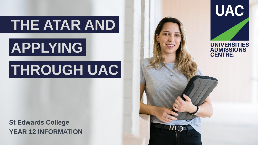# **THE ATAR AND**

# **APPLYING**

# **THROUGH UAC**

**St Edwards College YEAR 12 INFORMATION** 

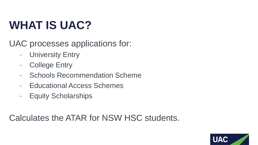#### **WHAT IS UAC?**

UAC processes applications for:

- University Entry  $\sim$
- College Entry  $\overline{\phantom{a}}$
- Schools Recommendation Scheme  $\overline{\phantom{a}}$
- Educational Access Schemes  $\sim$
- Equity Scholarships  $\sim$

Calculates the ATAR for NSW HSC students.

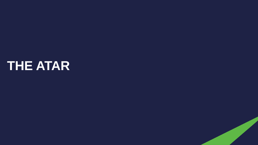## **THE ATAR**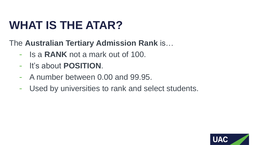## **WHAT IS THE ATAR?**

The **Australian Tertiary Admission Rank** is…

- Is a **RANK** not a mark out of 100.
- It's about **POSITION**.  $\sim$
- A number between 0.00 and 99.95.  $\sim$
- Used by universities to rank and select students. $\overline{\phantom{a}}$

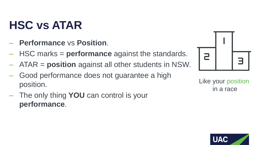## **HSC vs ATAR**

- ‒ **Performance** vs **Position**.
- ‒ HSC marks = **performance** against the standards.
- ‒ ATAR = **position** against all other students in NSW.
- Good performance does not guarantee a high position.
- ‒ The only thing **YOU** can control is your **performance**.



Like your position in a race

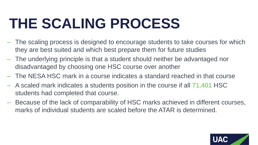# **THE SCALING PROCESS**

- ‒ The scaling process is designed to encourage students to take courses for which they are best suited and which best prepare them for future studies
- ‒ The underlying principle is that a student should neither be advantaged nor disadvantaged by choosing one HSC course over another
- ‒ The NESA HSC mark in a course indicates a standard reached in that course
- ‒ A scaled mark indicates a students position in the course if all 71,401 HSC students had completed that course.
- ‒ Because of the lack of comparability of HSC marks achieved in different courses, marks of individual students are scaled before the ATAR is determined.

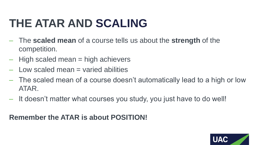#### **THE ATAR AND SCALING**

- ‒ The **scaled mean** of a course tells us about the **strength** of the competition.
- $-$  High scaled mean  $=$  high achievers
- $\overline{-}$  Low scaled mean  $\equiv$  varied abilities
- ‒ The scaled mean of a course doesn't automatically lead to a high or low ATAR.
- ‒ It doesn't matter what courses you study, you just have to do well!

#### **Remember the ATAR is about POSITION!**

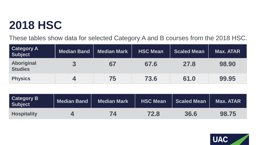#### **2018 HSC**

These tables show data for selected Category A and B courses from the 2018 HSC.

| <b>Category A</b><br><b>Subject</b> | <b>Median Band</b> | <b>Median Mark</b> | <b>HSC Mean</b> | <b>Scaled Mean</b> | Max. ATAR |
|-------------------------------------|--------------------|--------------------|-----------------|--------------------|-----------|
| Aboriginal<br><b>Studies</b>        |                    | 67                 | 67.6            | 27.8               | 98.90     |
| <b>Physics</b>                      |                    | 75                 | 73.6            | 61.0               | 99.95     |

| <b>Category B</b><br><b>Subject</b> | Median Band | Median Mark | <b>HSC Mean</b> | Scaled Mean | Max. ATAR |
|-------------------------------------|-------------|-------------|-----------------|-------------|-----------|
| <b>Hospitality</b>                  |             | 74          | 72.8            | 36.6        | 98.75     |

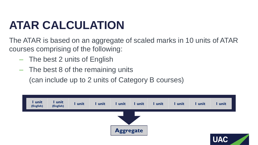## **ATAR CALCULATION**

The ATAR is based on an aggregate of scaled marks in 10 units of ATAR courses comprising of the following:

- ‒ The best 2 units of English
- ‒ The best 8 of the remaining units

(can include up to 2 units of Category B courses)

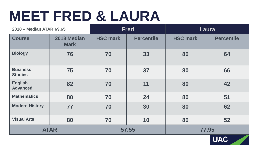## **MEET FRED & LAURA**

| 2018 - Median ATAR 69.65          |                            | <b>Fred</b>     |                   | Laura           |                   |
|-----------------------------------|----------------------------|-----------------|-------------------|-----------------|-------------------|
| <b>Course</b>                     | 2018 Median<br><b>Mark</b> | <b>HSC mark</b> | <b>Percentile</b> | <b>HSC mark</b> | <b>Percentile</b> |
| <b>Biology</b>                    | 76                         | 70              | 33                | 80              | 64                |
| <b>Business</b><br><b>Studies</b> | 75                         | 70              | 37                | 80              | 66                |
| <b>English</b><br><b>Advanced</b> | 82                         | 70              | 11                | 80              | 42                |
| <b>Mathematics</b>                | 80                         | 70              | 24                | 80              | 51                |
| <b>Modern History</b>             | 77                         | 70              | 30                | 80              | 62                |
| <b>Visual Arts</b>                | 80                         | 70              | 10                | 80              | 52                |
| <b>ATAR</b>                       |                            | 57.55           |                   | 77.95           |                   |

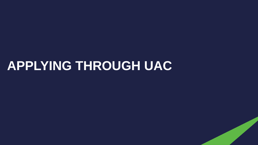#### **APPLYING THROUGH UAC**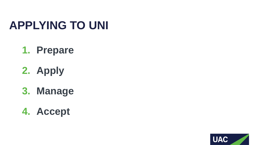#### **APPLYING TO UNI**

#### **1. Prepare**

**2. Apply**

**3. Manage**

**4. Accept**

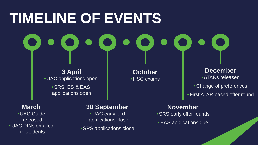# **TIMELINE OF EVENTS**

**3 April** • UAC applications open •SRS, ES & EAS applications open

**October** • HSC exams

**December** •ATARs released • Change of preferences

•First ATAR based offer round

**March** • UAC Guide released • UAC PINs emailed to students

**30 September** • UAC early bird applications close

•SRS applications close

**November** •SRS early offer rounds

•EAS applications due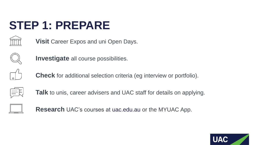## **STEP 1: PREPARE**

**Visit** Career Expos and uni Open Days.



**Investigate** all course possibilities.



**Check** for additional selection criteria (eg interview or portfolio).



**Talk** to unis, career advisers and UAC staff for details on applying.



**Research** UAC's courses at uac.edu.au or the MYUAC App.

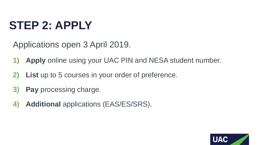#### **STEP 2: APPLY**

Applications open 3 April 2019.

- **1) Apply** online using your UAC PIN and NESA student number.
- **2) List** up to 5 courses in your order of preference.
- **3) Pay** processing charge.
- **4) Additional** applications (EAS/ES/SRS).

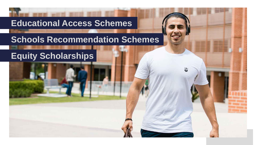#### **Educational Access Schemes**

#### **Schools Recommendation Schemes**

뵎

#### **Equity Scholarships**

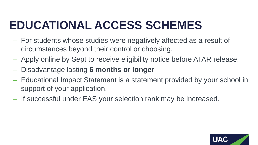## **EDUCATIONAL ACCESS SCHEMES**

- ‒ For students whose studies were negatively affected as a result of circumstances beyond their control or choosing.
- ‒ Apply online by Sept to receive eligibility notice before ATAR release.
- ‒ Disadvantage lasting **6 months or longer**
- ‒ Educational Impact Statement is a statement provided by your school in support of your application.
- ‒ If successful under EAS your selection rank may be increased.

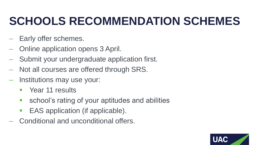#### **SCHOOLS RECOMMENDATION SCHEMES**

- Early offer schemes.
- ‒ Online application opens 3 April.
- ‒ Submit your undergraduate application first.
- Not all courses are offered through SRS.
- ‒ Institutions may use your:
	- **No. 7 Year 11 results**
	- **School's rating of your aptitudes and abilities**
	- **EAS** application (if applicable).
- ‒ Conditional and unconditional offers.

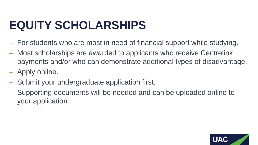#### **EQUITY SCHOLARSHIPS**

- ‒ For students who are most in need of financial support while studying.
- ‒ Most scholarships are awarded to applicants who receive Centrelink payments and/or who can demonstrate additional types of disadvantage.
- ‒ Apply online.
- ‒ Submit your undergraduate application first.
- ‒ Supporting documents will be needed and can be uploaded online to your application.

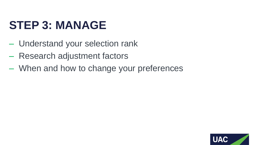#### **STEP 3: MANAGE**

- ‒ Understand your selection rank
- ‒ Research adjustment factors
- ‒ When and how to change your preferences

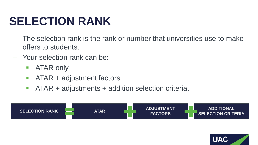#### **SELECTION RANK**

- ‒ The selection rank is the rank or number that universities use to make offers to students.
- ‒ Your selection rank can be:
	- **ATAR only**
	- **ATAR + adjustment factors**
	- ATAR + adjustments + addition selection criteria.



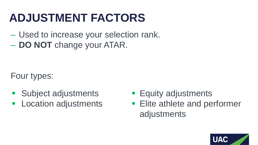#### **ADJUSTMENT FACTORS**

- ‒ Used to increase your selection rank.
- ‒ **DO NOT** change your ATAR.

Four types:

- **Subject adjustments**
- **Location adjustments**
- **Equity adjustments**
- **Elite athlete and performer** adjustments

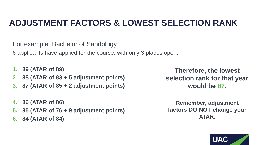#### **ADJUSTMENT FACTORS & LOWEST SELECTION RANK**

For example: Bachelor of Sandology

6 applicants have applied for the course, with only 3 places open.

- **1. 89 (ATAR of 89)**
- **2. 88 (ATAR of 83 + 5 adjustment points)**
- **3. 87 (ATAR of 85 + 2 adjustment points)**

\_\_\_\_\_\_\_\_\_\_\_\_\_\_\_\_\_\_\_\_\_\_\_\_\_\_\_\_\_\_\_\_\_\_\_

- **4. 86 (ATAR of 86)**
- **5. 85 (ATAR of 76 + 9 adjustment points)**
- **6. 84 (ATAR of 84)**

**Therefore, the lowest selection rank for that year would be 87.**

**Remember, adjustment factors DO NOT change your ATAR.**

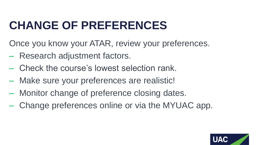#### **CHANGE OF PREFERENCES**

Once you know your ATAR, review your preferences.

- Research adjustment factors.
- ‒ Check the course's lowest selection rank.
- Make sure your preferences are realistic!
- ‒ Monitor change of preference closing dates.
- ‒ Change preferences online or via the MYUAC app.

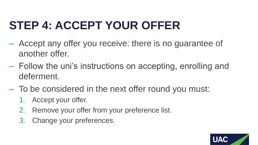## **STEP 4: ACCEPT YOUR OFFER**

- ‒ Accept any offer you receive: there is no guarantee of another offer.
- ‒ Follow the uni's instructions on accepting, enrolling and deferment.
- ‒ To be considered in the next offer round you must:
	- 1. Accept your offer.
	- 2. Remove your offer from your preference list.
	- 3. Change your preferences.

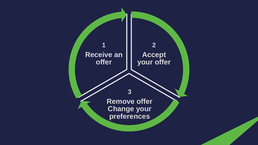